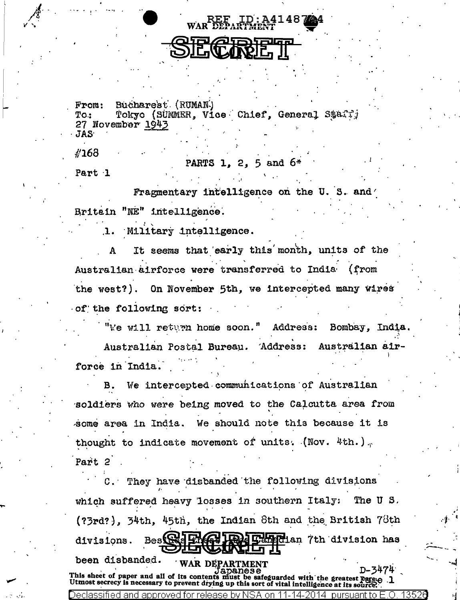REF ID: A41487 EGRIRIE"

 $From:$ Bucharest (RUMAN) Tokyo (SUMMER, Vice Chief, General Staff)  $T0.1$ 27 November 1943 **JAS** 

#168

PARTS 1, 2, 5 and 6

Part 1

Fragmentary intelligence on the U.S. and Britain "NE" intelligence.

Military intelligence. 1.

It seems that early this month, units of the Australian airforce were transferred to India (from the west?). On November 5th, we intercepted many wires of the following sort:

"We will return home soon." Address: Bombay, India. Australian Postal Bureau. Address: Australian airforce in India.

We intercepted communications of Australian R. soldiers who were being moved to the Calcutta area from some area in India. We should note this because it is thought to indicate movement of units. (Nov. 4th.). Part 2

C. They have disbanded the following divisions which suffered heavy losses in southern Italy: The U S. (?3rd?), 34th, 45th, the Indian 8th and the British 78th Besteral Etherian 7th division has divisions. been disbanded. WAR DEPARTMENT D-3474  $nanese$ This sheet of paper and all of its contents must be safeguarded with the greatest parete-<br>Utmost secrecy is necessary to prevent drying up this sort of vital intelligence at its source. Declassified and approved for release by NSA 14-2014 pursuant to E.O. 135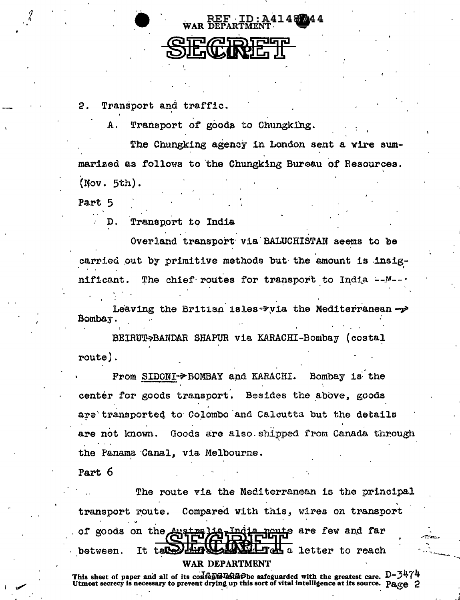

Transport and traffic. 2.

> Transport of goods to Chungking. A

The Chungking agency in London sent a wire summarized as follows to the Chungking Bureau of Resources.  $(Nov. 5th).$ 

Part 5

Transport to India D.

Overland transport via BALUCHISTAN seems to be carried out by primitive methods but the amount is insig-The chief routes for transport to India --M. nificant.

Leaving the British isles via the Mediterranean ->> Bombay

BEIRUT->BANDAR SHAPUR via KARACHI-Bombay (costal route).

From SIDONI->BOMBAY and KARACHI. Bombay is the center for goods transport. Besides the above, goods are transported to Colombo and Calcutta but the details Goods are also shipped from Canada through are not known. the Panama Canal, via Melbourne.

Part 6

The route via the Mediterranean is the principal transport route. Compared with this, wires on transport noute are few and far of goods on the Australia India a letter to reach between. It tal WAR DEPARTMENT

This sheet of paper and all of its content match safeguarded with the greatest care.  $D - 3474$ Utmost secrecy is necessary to prevent drying up this sort of vital intelligence at its source. Page 2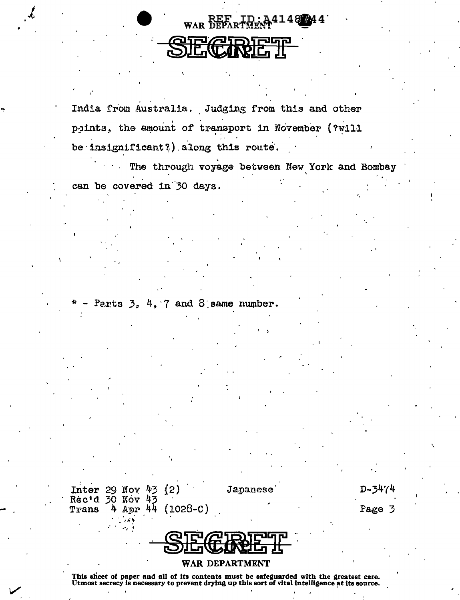

India from Australia. Judging from this and other points, the amount of transport in November (?will be insignificant?) along this route.

The through voyage between New York and Bombay can be covered in 30 days.

Parts  $3, 4, 7$  and  $8$  same number.

Inter 29 Nov  $43$  $(2)$ Rec'd 30 Nov  $(1028-c)$ Apr 44 Trans п

Japanese

 $D - 3474$ 

Page 3



WAR DEPARTMENT

This sheet of paper and all of its contents must be safeguarded with the greatest care.<br>Utmost secrecy is necessary to prevent drying up this sort of vital intelligence at its source.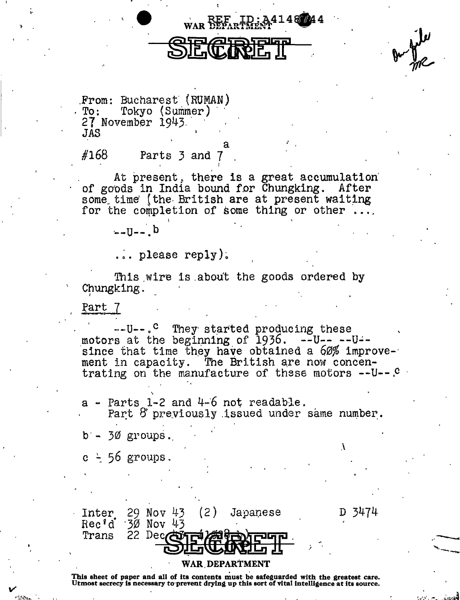D 3474

From: Bucharest (RUMAN) Tokyo (Summer)  $To:$ 27 November 1943. JAS

## #168 Parts 3 and 7

At present, there is a great accumulation of goods in India bound for Chungking. After some time (the British are at present waiting for the completion of some thing or other ...

WAR DEPARTMENT 14

 $-11 - 6$ 

 $\ldots$  please reply).

This wire is about the goods ordered by Chungking.

Part 7

--U--.<sup>C</sup> They started producing these motors at the beginning of  $1936$ .  $-U$ --- $-U$ -since that time they have obtained a 60% improvement in capacity. The British are now concentrating on the manufacture of these motors -- U--. C

a - Parts 1-2 and 4-6 not readable.<br>Part 8 previously issued under same number.

 $b - 30$  groups.

 $c - 56$  groups.



## WAR DEPARTMENT

This sheet of paper and all of its contents must be safeguarded with the greatest care.<br>Utmost secrecy is necessary to prevent drying up this sort of vital intelligence at its source.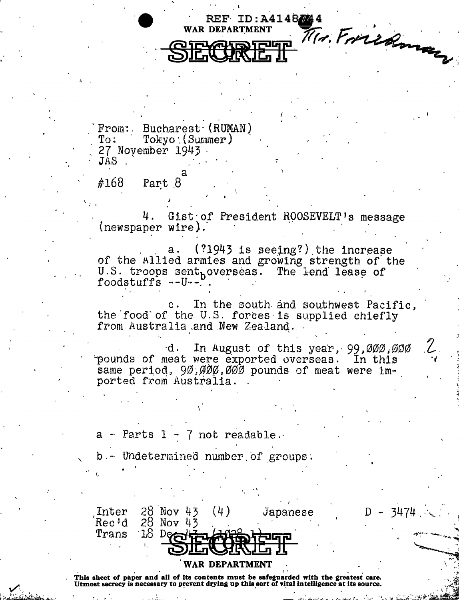14. Friedman REF ID: A4148744 **WAR DEPARTMENT** 

From: Bucharest (RUMAN)  $Tokyo$  (Summer) To: 27 November 1943.

Part 8 #168

JAS

Gist of President ROOSEVELT's message (newspaper wire).

 $(?1943$  is seeing?) the increase  $a$ . of the Allied armies and growing strength of the U.S. troops sent<sub>h</sub>overseas. The lend lease of foodstuffs  $--U--$ 

In the south and southwest Pacific,  $c \cdot$ the food of the U.S. forces is supplied chiefly from Australia and New Zealand.

In August of this year, 99,000,000 d. pounds of meat were exported overseas. In this same period, 90,000,000 pounds of meat were im-<br>ported from Australia.

3474

Parts  $1 - 7$  not readable. а -

Undetermined number of groups.

28 Nov 43  $(4)$ Inter Japanese Rec'd  $28$  Nov 43  $18P$ Trans

## WAR DEPARTMENT

This sheet of paper and all of its contents must be safeguarded with the greatest care. Utmost secrecy is necessary to prevent drying up this sort of vital intelligence at its source.